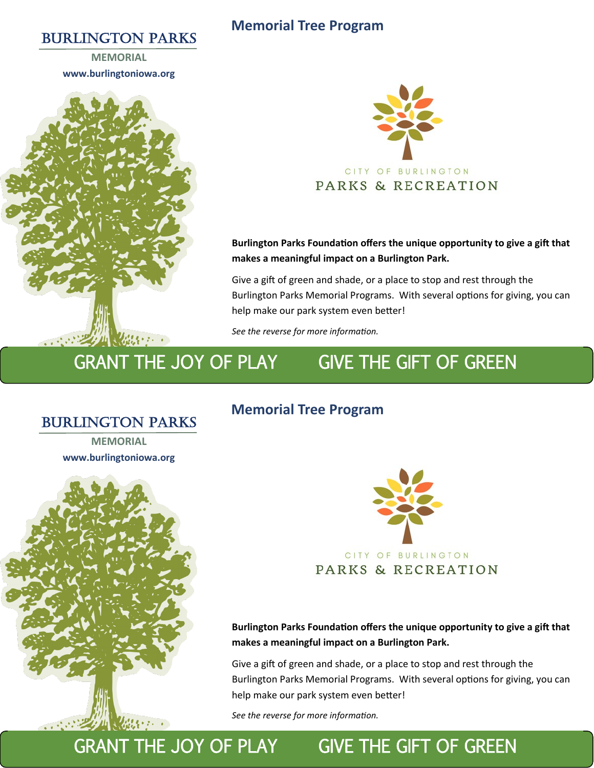### BURLINGTON PARKS

#### **Memorial Tree Program**

**MEMORIAL www.burlingtoniowa.org**





**Burlington Parks Foundation offers the unique opportunity to give a gift that makes a meaningful impact on a Burlington Park.**

Give a gift of green and shade, or a place to stop and rest through the Burlington Parks Memorial Programs. With several options for giving, you can help make our park system even better!

*See the reverse for more information.*

## GRANT THE JOY OF PLAY GIVE THE GIFT OF GREEN

### BURLINGTON PARKS

**MEMORIAL www.burlingtoniowa.org**



# **Memorial Tree Program**



**Burlington Parks Foundation offers the unique opportunity to give a gift that makes a meaningful impact on a Burlington Park.**

Give a gift of green and shade, or a place to stop and rest through the Burlington Parks Memorial Programs. With several options for giving, you can help make our park system even better!

*See the reverse for more information.*

# GRANT THE JOY OF PLAY GIVE THE GIFT OF GREEN